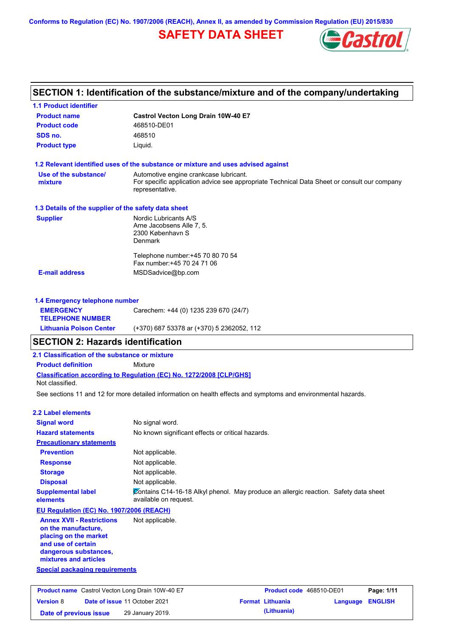**Conforms to Regulation (EC) No. 1907/2006 (REACH), Annex II, as amended by Commission Regulation (EU) 2015/830**

# **SAFETY DATA SHEET**



# **SECTION 1: Identification of the substance/mixture and of the company/undertaking**

| <b>Product name</b>                                                                         | Castrol Vecton Long Drain 10W-40 E7                                                                            |                                 |                 |                |
|---------------------------------------------------------------------------------------------|----------------------------------------------------------------------------------------------------------------|---------------------------------|-----------------|----------------|
| <b>Product code</b>                                                                         | 468510-DE01                                                                                                    |                                 |                 |                |
| SDS no.                                                                                     | 468510                                                                                                         |                                 |                 |                |
| <b>Product type</b>                                                                         | Liquid.                                                                                                        |                                 |                 |                |
|                                                                                             | 1.2 Relevant identified uses of the substance or mixture and uses advised against                              |                                 |                 |                |
| Use of the substance/                                                                       | Automotive engine crankcase lubricant.                                                                         |                                 |                 |                |
| mixture                                                                                     | For specific application advice see appropriate Technical Data Sheet or consult our company<br>representative. |                                 |                 |                |
| 1.3 Details of the supplier of the safety data sheet                                        |                                                                                                                |                                 |                 |                |
| <b>Supplier</b>                                                                             | Nordic Lubricants A/S<br>Arne Jacobsens Alle 7, 5.<br>2300 København S<br>Denmark                              |                                 |                 |                |
|                                                                                             | Telephone number: +45 70 80 70 54<br>Fax number: +45 70 24 71 06                                               |                                 |                 |                |
| <b>E-mail address</b>                                                                       | MSDSadvice@bp.com                                                                                              |                                 |                 |                |
|                                                                                             |                                                                                                                |                                 |                 |                |
| 1.4 Emergency telephone number                                                              |                                                                                                                |                                 |                 |                |
| <b>EMERGENCY</b><br><b>TELEPHONE NUMBER</b>                                                 | Carechem: +44 (0) 1235 239 670 (24/7)                                                                          |                                 |                 |                |
| <b>Lithuania Poison Center</b>                                                              | (+370) 687 53378 ar (+370) 5 2362052, 112                                                                      |                                 |                 |                |
| <b>SECTION 2: Hazards identification</b>                                                    |                                                                                                                |                                 |                 |                |
| 2.1 Classification of the substance or mixture                                              |                                                                                                                |                                 |                 |                |
| <b>Product definition</b>                                                                   | Mixture                                                                                                        |                                 |                 |                |
| Not classified.                                                                             | Classification according to Regulation (EC) No. 1272/2008 [CLP/GHS]                                            |                                 |                 |                |
|                                                                                             | See sections 11 and 12 for more detailed information on health effects and symptoms and environmental hazards. |                                 |                 |                |
| <b>2.2 Label elements</b>                                                                   |                                                                                                                |                                 |                 |                |
| <b>Signal word</b>                                                                          | No signal word.                                                                                                |                                 |                 |                |
| <b>Hazard statements</b>                                                                    | No known significant effects or critical hazards.                                                              |                                 |                 |                |
| <b>Precautionary statements</b>                                                             |                                                                                                                |                                 |                 |                |
| <b>Prevention</b>                                                                           | Not applicable.                                                                                                |                                 |                 |                |
| <b>Response</b>                                                                             | Not applicable.                                                                                                |                                 |                 |                |
| <b>Storage</b>                                                                              | Not applicable.                                                                                                |                                 |                 |                |
| <b>Disposal</b>                                                                             | Not applicable.                                                                                                |                                 |                 |                |
| <b>Supplemental label</b><br>elements                                                       | Contains C14-16-18 Alkyl phenol. May produce an allergic reaction. Safety data sheet<br>available on request.  |                                 |                 |                |
| EU Regulation (EC) No. 1907/2006 (REACH)                                                    |                                                                                                                |                                 |                 |                |
| <b>Annex XVII - Restrictions</b>                                                            | Not applicable.                                                                                                |                                 |                 |                |
| on the manufacture,<br>placing on the market<br>and use of certain<br>dangerous substances, |                                                                                                                |                                 |                 |                |
| mixtures and articles                                                                       |                                                                                                                |                                 |                 |                |
| <b>Special packaging requirements</b>                                                       |                                                                                                                |                                 |                 |                |
| Product name Castrol Vecton Long Drain 10W-40 E7                                            |                                                                                                                | <b>Product code</b> 468510-DE01 |                 | Page: 1/11     |
| <b>Version 8</b>                                                                            | Date of issue 11 October 2021                                                                                  | <b>Format Lithuania</b>         | <b>Language</b> | <b>ENGLISH</b> |
| Date of previous issue                                                                      | 29 January 2019.                                                                                               | (Lithuania)                     |                 |                |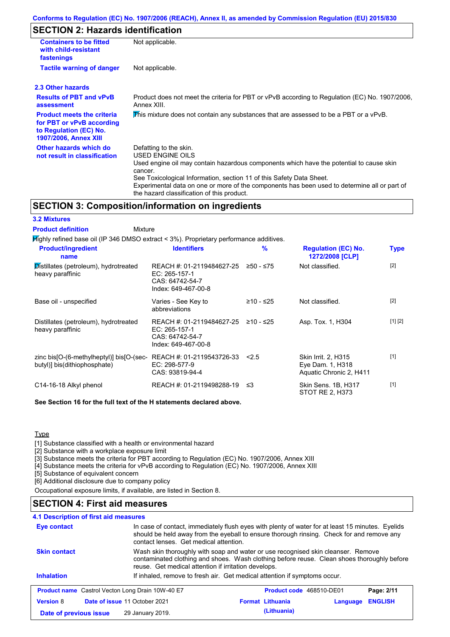# **SECTION 2: Hazards identification**

| <b>Containers to be fitted</b><br>with child-resistant<br>fastenings                                                     | Not applicable.                                                                                                                                                                                                                                                                                                                                                        |  |  |  |
|--------------------------------------------------------------------------------------------------------------------------|------------------------------------------------------------------------------------------------------------------------------------------------------------------------------------------------------------------------------------------------------------------------------------------------------------------------------------------------------------------------|--|--|--|
| <b>Tactile warning of danger</b>                                                                                         | Not applicable.                                                                                                                                                                                                                                                                                                                                                        |  |  |  |
| 2.3 Other hazards                                                                                                        |                                                                                                                                                                                                                                                                                                                                                                        |  |  |  |
| <b>Results of PBT and vPvB</b><br>assessment                                                                             | Product does not meet the criteria for PBT or vPvB according to Regulation (EC) No. 1907/2006,<br>Annex XIII.                                                                                                                                                                                                                                                          |  |  |  |
| <b>Product meets the criteria</b><br>for PBT or vPvB according<br>to Regulation (EC) No.<br><b>1907/2006, Annex XIII</b> | This mixture does not contain any substances that are assessed to be a PBT or a vPvB.                                                                                                                                                                                                                                                                                  |  |  |  |
| Other hazards which do<br>not result in classification                                                                   | Defatting to the skin.<br>USED ENGINE OILS<br>Used engine oil may contain hazardous components which have the potential to cause skin<br>cancer.<br>See Toxicological Information, section 11 of this Safety Data Sheet.<br>Experimental data on one or more of the components has been used to determine all or part of<br>the hazard classification of this product. |  |  |  |

### **SECTION 3: Composition/information on ingredients**

| <b>3.2 Mixtures</b>                                                                       |                                                                                      |               |                                                                    |             |
|-------------------------------------------------------------------------------------------|--------------------------------------------------------------------------------------|---------------|--------------------------------------------------------------------|-------------|
| <b>Product definition</b><br>Mixture                                                      |                                                                                      |               |                                                                    |             |
| $H$ ighly refined base oil (IP 346 DMSO extract < 3%). Proprietary performance additives. |                                                                                      |               |                                                                    |             |
| <b>Product/ingredient</b><br>name                                                         | <b>Identifiers</b>                                                                   | $\frac{9}{6}$ | <b>Regulation (EC) No.</b><br>1272/2008 [CLP]                      | <b>Type</b> |
| Distillates (petroleum), hydrotreated<br>heavy paraffinic                                 | REACH #: 01-2119484627-25<br>EC: 265-157-1<br>CAS: 64742-54-7<br>Index: 649-467-00-8 | $≥50 - ≤75$   | Not classified.                                                    | $[2]$       |
| Base oil - unspecified                                                                    | Varies - See Key to<br>abbreviations                                                 | $≥10 - ≤25$   | Not classified.                                                    | $[2]$       |
| Distillates (petroleum), hydrotreated<br>heavy paraffinic                                 | REACH #: 01-2119484627-25<br>EC: 265-157-1<br>CAS: 64742-54-7<br>Index: 649-467-00-8 | ≥10 - ≤25     | Asp. Tox. 1, H304                                                  | [1] [2]     |
| zinc bis [O-(6-methylheptyl)] bis [O-(sec-<br>butyl)] bis(dithiophosphate)                | REACH #: 01-2119543726-33<br>EC: 298-577-9<br>CAS: 93819-94-4                        | < 2.5         | Skin Irrit. 2, H315<br>Eye Dam. 1, H318<br>Aquatic Chronic 2, H411 | $[1]$       |
| C14-16-18 Alkyl phenol                                                                    | REACH #: 01-2119498288-19                                                            | ≲3            | Skin Sens. 1B, H317<br>STOT RE 2, H373                             | $[1]$       |

**See Section 16 for the full text of the H statements declared above.**

**Type** 

[1] Substance classified with a health or environmental hazard

[2] Substance with a workplace exposure limit

[3] Substance meets the criteria for PBT according to Regulation (EC) No. 1907/2006, Annex XIII

[4] Substance meets the criteria for vPvB according to Regulation (EC) No. 1907/2006, Annex XIII

[5] Substance of equivalent concern

[6] Additional disclosure due to company policy

Occupational exposure limits, if available, are listed in Section 8.

### **SECTION 4: First aid measures**

| <b>4.1 Description of first aid measures</b> |                                                         |                                                                                                                                                                                                                                         |          |                |  |
|----------------------------------------------|---------------------------------------------------------|-----------------------------------------------------------------------------------------------------------------------------------------------------------------------------------------------------------------------------------------|----------|----------------|--|
| Eye contact                                  |                                                         | In case of contact, immediately flush eyes with plenty of water for at least 15 minutes. Eyelids<br>should be held away from the eyeball to ensure thorough rinsing. Check for and remove any<br>contact lenses. Get medical attention. |          |                |  |
| <b>Skin contact</b>                          | reuse. Get medical attention if irritation develops.    | Wash skin thoroughly with soap and water or use recognised skin cleanser. Remove<br>contaminated clothing and shoes. Wash clothing before reuse. Clean shoes thoroughly before                                                          |          |                |  |
| <b>Inhalation</b>                            |                                                         | If inhaled, remove to fresh air. Get medical attention if symptoms occur.                                                                                                                                                               |          |                |  |
|                                              | <b>Product name</b> Castrol Vecton Long Drain 10W-40 E7 | Product code 468510-DE01                                                                                                                                                                                                                |          | Page: 2/11     |  |
| <b>Version 8</b>                             | Date of issue 11 October 2021                           | <b>Format Lithuania</b>                                                                                                                                                                                                                 | Language | <b>ENGLISH</b> |  |
| Date of previous issue                       | 29 January 2019.                                        | (Lithuania)                                                                                                                                                                                                                             |          |                |  |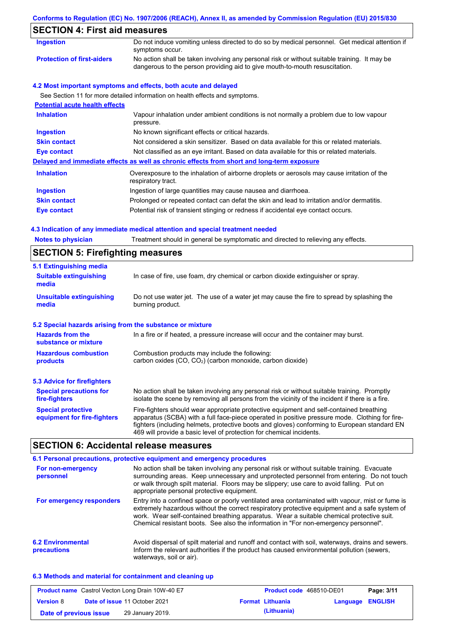| <b>SECTION 4: First aid measures</b>  |                                                                                                                                                                             |
|---------------------------------------|-----------------------------------------------------------------------------------------------------------------------------------------------------------------------------|
| Ingestion                             | Do not induce vomiting unless directed to do so by medical personnel. Get medical attention if<br>symptoms occur.                                                           |
| <b>Protection of first-aiders</b>     | No action shall be taken involving any personal risk or without suitable training. It may be<br>dangerous to the person providing aid to give mouth-to-mouth resuscitation. |
|                                       | 4.2 Most important symptoms and effects, both acute and delayed                                                                                                             |
|                                       | See Section 11 for more detailed information on health effects and symptoms.                                                                                                |
| <b>Potential acute health effects</b> |                                                                                                                                                                             |
| <b>Inhalation</b>                     | Vapour inhalation under ambient conditions is not normally a problem due to low vapour<br>pressure.                                                                         |
| <b>Ingestion</b>                      | No known significant effects or critical hazards.                                                                                                                           |
| <b>Skin contact</b>                   | Not considered a skin sensitizer. Based on data available for this or related materials.                                                                                    |
| Eye contact                           | Not classified as an eye irritant. Based on data available for this or related materials.                                                                                   |
|                                       | Delayed and immediate effects as well as chronic effects from short and long-term exposure                                                                                  |
| <b>Inhalation</b>                     | Overexposure to the inhalation of airborne droplets or aerosols may cause irritation of the<br>respiratory tract.                                                           |
| <b>Ingestion</b>                      | Ingestion of large quantities may cause nausea and diarrhoea.                                                                                                               |
| <b>Skin contact</b>                   | Prolonged or repeated contact can defat the skin and lead to irritation and/or dermatitis.                                                                                  |
| Eye contact                           | Potential risk of transient stinging or redness if accidental eye contact occurs.                                                                                           |

**Conforms to Regulation (EC) No. 1907/2006 (REACH), Annex II, as amended by Commission Regulation (EU) 2015/830**

#### **4.3 Indication of any immediate medical attention and special treatment needed**

| <b>Notes to physician</b>                                 | Treatment should in general be symptomatic and directed to relieving any effects.                                                                                                                                                                                                                                                                                 |  |  |  |  |
|-----------------------------------------------------------|-------------------------------------------------------------------------------------------------------------------------------------------------------------------------------------------------------------------------------------------------------------------------------------------------------------------------------------------------------------------|--|--|--|--|
| <b>SECTION 5: Firefighting measures</b>                   |                                                                                                                                                                                                                                                                                                                                                                   |  |  |  |  |
| 5.1 Extinguishing media                                   |                                                                                                                                                                                                                                                                                                                                                                   |  |  |  |  |
| <b>Suitable extinguishing</b><br>media                    | In case of fire, use foam, dry chemical or carbon dioxide extinguisher or spray.                                                                                                                                                                                                                                                                                  |  |  |  |  |
| <b>Unsuitable extinguishing</b><br>media                  | Do not use water jet. The use of a water jet may cause the fire to spread by splashing the<br>burning product.                                                                                                                                                                                                                                                    |  |  |  |  |
| 5.2 Special hazards arising from the substance or mixture |                                                                                                                                                                                                                                                                                                                                                                   |  |  |  |  |
| <b>Hazards from the</b><br>substance or mixture           | In a fire or if heated, a pressure increase will occur and the container may burst.                                                                                                                                                                                                                                                                               |  |  |  |  |
| <b>Hazardous combustion</b><br>products                   | Combustion products may include the following:<br>carbon oxides (CO, CO <sub>2</sub> ) (carbon monoxide, carbon dioxide)                                                                                                                                                                                                                                          |  |  |  |  |
| <b>5.3 Advice for firefighters</b>                        |                                                                                                                                                                                                                                                                                                                                                                   |  |  |  |  |
| <b>Special precautions for</b><br>fire-fighters           | No action shall be taken involving any personal risk or without suitable training. Promptly<br>isolate the scene by removing all persons from the vicinity of the incident if there is a fire.                                                                                                                                                                    |  |  |  |  |
| <b>Special protective</b><br>equipment for fire-fighters  | Fire-fighters should wear appropriate protective equipment and self-contained breathing<br>apparatus (SCBA) with a full face-piece operated in positive pressure mode. Clothing for fire-<br>fighters (including helmets, protective boots and gloves) conforming to European standard EN<br>469 will provide a basic level of protection for chemical incidents. |  |  |  |  |
| <b>SECTION 6: Accidental release measures</b>             |                                                                                                                                                                                                                                                                                                                                                                   |  |  |  |  |

#### **6.2 Environmental precautions** Avoid dispersal of spilt material and runoff and contact with soil, waterways, drains and sewers. Inform the relevant authorities if the product has caused environmental pollution (sewers, waterways, soil or air). **6.1 Personal precautions, protective equipment and emergency procedures For non-emergency personnel For emergency responders** No action shall be taken involving any personal risk or without suitable training. Evacuate surrounding areas. Keep unnecessary and unprotected personnel from entering. Do not touch or walk through spilt material. Floors may be slippery; use care to avoid falling. Put on appropriate personal protective equipment. Entry into a confined space or poorly ventilated area contaminated with vapour, mist or fume is extremely hazardous without the correct respiratory protective equipment and a safe system of work. Wear self-contained breathing apparatus. Wear a suitable chemical protective suit. Chemical resistant boots. See also the information in "For non-emergency personnel".

#### **6.3 Methods and material for containment and cleaning up**

| <b>Product name</b> Castrol Vecton Long Drain 10W-40 E7 |  | <b>Product code</b> 468510-DE01      |  | Page: 3/11              |                         |  |
|---------------------------------------------------------|--|--------------------------------------|--|-------------------------|-------------------------|--|
| <b>Version 8</b>                                        |  | <b>Date of issue 11 October 2021</b> |  | <b>Format Lithuania</b> | <b>Language ENGLISH</b> |  |
| Date of previous issue                                  |  | 29 January 2019.                     |  | (Lithuania)             |                         |  |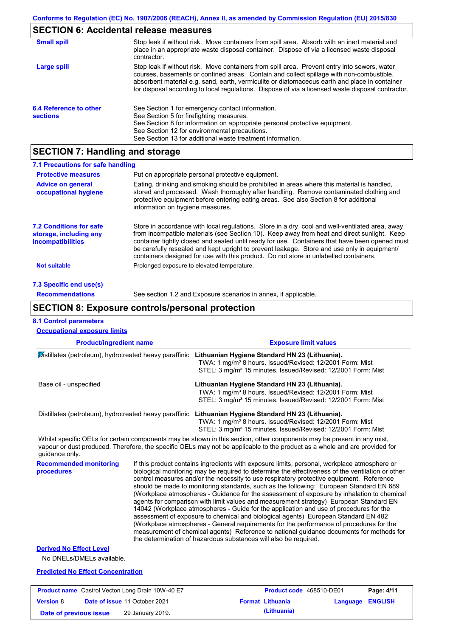### **SECTION 6: Accidental release measures**

| <b>Small spill</b>                        | Stop leak if without risk. Move containers from spill area. Absorb with an inert material and<br>place in an appropriate waste disposal container. Dispose of via a licensed waste disposal<br>contractor.                                                                                                                                                                                     |
|-------------------------------------------|------------------------------------------------------------------------------------------------------------------------------------------------------------------------------------------------------------------------------------------------------------------------------------------------------------------------------------------------------------------------------------------------|
| Large spill                               | Stop leak if without risk. Move containers from spill area. Prevent entry into sewers, water<br>courses, basements or confined areas. Contain and collect spillage with non-combustible,<br>absorbent material e.g. sand, earth, vermiculite or diatomaceous earth and place in container<br>for disposal according to local regulations. Dispose of via a licensed waste disposal contractor. |
| 6.4 Reference to other<br><b>sections</b> | See Section 1 for emergency contact information.<br>See Section 5 for firefighting measures.<br>See Section 8 for information on appropriate personal protective equipment.<br>See Section 12 for environmental precautions.<br>See Section 13 for additional waste treatment information.                                                                                                     |

## **SECTION 7: Handling and storage**

| 7.1 Precautions for safe handling                                                    |                                                                                                                                                                                                                                                                                                                                                                                                                                                                                          |
|--------------------------------------------------------------------------------------|------------------------------------------------------------------------------------------------------------------------------------------------------------------------------------------------------------------------------------------------------------------------------------------------------------------------------------------------------------------------------------------------------------------------------------------------------------------------------------------|
| <b>Protective measures</b>                                                           | Put on appropriate personal protective equipment.                                                                                                                                                                                                                                                                                                                                                                                                                                        |
| <b>Advice on general</b><br>occupational hygiene                                     | Eating, drinking and smoking should be prohibited in areas where this material is handled.<br>stored and processed. Wash thoroughly after handling. Remove contaminated clothing and<br>protective equipment before entering eating areas. See also Section 8 for additional<br>information on hygiene measures.                                                                                                                                                                         |
| <b>7.2 Conditions for safe</b><br>storage, including any<br><i>incompatibilities</i> | Store in accordance with local regulations. Store in a dry, cool and well-ventilated area, away<br>from incompatible materials (see Section 10). Keep away from heat and direct sunlight. Keep<br>container tightly closed and sealed until ready for use. Containers that have been opened must<br>be carefully resealed and kept upright to prevent leakage. Store and use only in equipment/<br>containers designed for use with this product. Do not store in unlabelled containers. |
| <b>Not suitable</b>                                                                  | Prolonged exposure to elevated temperature.                                                                                                                                                                                                                                                                                                                                                                                                                                              |
| 7.3 Specific end use(s)                                                              |                                                                                                                                                                                                                                                                                                                                                                                                                                                                                          |
| <b>Recommendations</b>                                                               | See section 1.2 and Exposure scenarios in annex, if applicable.                                                                                                                                                                                                                                                                                                                                                                                                                          |

### **SECTION 8: Exposure controls/personal protection**

#### **Product/ingredient name Exposure limit values Recommended monitoring procedures** If this product contains ingredients with exposure limits, personal, workplace atmosphere or biological monitoring may be required to determine the effectiveness of the ventilation or other control measures and/or the necessity to use respiratory protective equipment. Reference should be made to monitoring standards, such as the following: European Standard EN 689 (Workplace atmospheres - Guidance for the assessment of exposure by inhalation to chemical agents for comparison with limit values and measurement strategy) European Standard EN 14042 (Workplace atmospheres - Guide for the application and use of procedures for the assessment of exposure to chemical and biological agents) European Standard EN 482 (Workplace atmospheres - General requirements for the performance of procedures for the measurement of chemical agents) Reference to national guidance documents for methods for the determination of hazardous substances will also be required. No DNELs/DMELs available. **Predicted No Effect Concentration 8.1 Control parameters Derived No Effect Level** Whilst specific OELs for certain components may be shown in this section, other components may be present in any mist, vapour or dust produced. Therefore, the specific OELs may not be applicable to the product as a whole and are provided for guidance only. **Occupational exposure limits** Distillates (petroleum), hydrotreated heavy paraffinic **Lithuanian Hygiene Standard HN 23 (Lithuania).** TWA: 1 mg/m<sup>3</sup> 8 hours. Issued/Revised: 12/2001 Form: Mist STEL: 3 mg/m<sup>3</sup> 15 minutes. Issued/Revised: 12/2001 Form: Mist Base oil - unspecified **Lithuanian Hygiene Standard HN 23 (Lithuania).** TWA: 1 mg/m<sup>3</sup> 8 hours. Issued/Revised: 12/2001 Form: Mist STEL: 3 mg/m<sup>3</sup> 15 minutes. Issued/Revised: 12/2001 Form: Mist Distillates (petroleum), hydrotreated heavy paraffinic **Lithuanian Hygiene Standard HN 23 (Lithuania).** TWA: 1 mg/m³ 8 hours. Issued/Revised: 12/2001 Form: Mist STEL: 3 mg/m<sup>3</sup> 15 minutes. Issued/Revised: 12/2001 Form: Mist

|                        | <b>Product name</b> Castrol Vecton Long Drain 10W-40 E7 | Product code 468510-DE01 |                         | Page: 4/11 |
|------------------------|---------------------------------------------------------|--------------------------|-------------------------|------------|
| <b>Version 8</b>       | <b>Date of issue 11 October 2021</b>                    | <b>Format Lithuania</b>  | <b>Language ENGLISH</b> |            |
| Date of previous issue | 29 January 2019.                                        | (Lithuania)              |                         |            |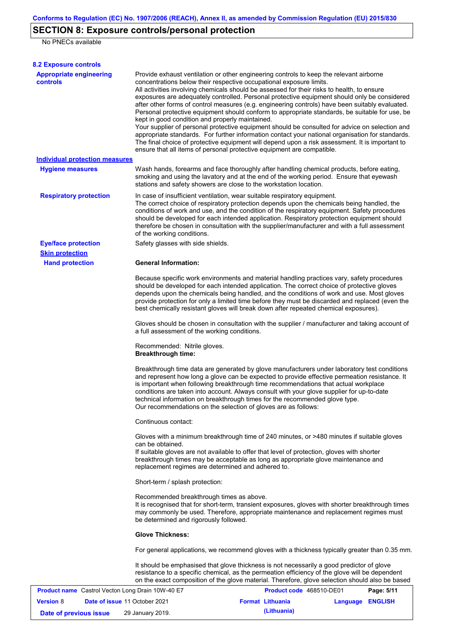# **SECTION 8: Exposure controls/personal protection**

No PNECs available

| <b>8.2 Exposure controls</b>                      |                                                                                                                                                                                                                                                                                                                                                                                                                                                                                                                                                                                                                                                                                                                                                                                                                                                                                                                                                                                                         |                          |                  |            |  |
|---------------------------------------------------|---------------------------------------------------------------------------------------------------------------------------------------------------------------------------------------------------------------------------------------------------------------------------------------------------------------------------------------------------------------------------------------------------------------------------------------------------------------------------------------------------------------------------------------------------------------------------------------------------------------------------------------------------------------------------------------------------------------------------------------------------------------------------------------------------------------------------------------------------------------------------------------------------------------------------------------------------------------------------------------------------------|--------------------------|------------------|------------|--|
| <b>Appropriate engineering</b><br><b>controls</b> | Provide exhaust ventilation or other engineering controls to keep the relevant airborne<br>concentrations below their respective occupational exposure limits.<br>All activities involving chemicals should be assessed for their risks to health, to ensure<br>exposures are adequately controlled. Personal protective equipment should only be considered<br>after other forms of control measures (e.g. engineering controls) have been suitably evaluated.<br>Personal protective equipment should conform to appropriate standards, be suitable for use, be<br>kept in good condition and properly maintained.<br>Your supplier of personal protective equipment should be consulted for advice on selection and<br>appropriate standards. For further information contact your national organisation for standards.<br>The final choice of protective equipment will depend upon a risk assessment. It is important to<br>ensure that all items of personal protective equipment are compatible. |                          |                  |            |  |
| <b>Individual protection measures</b>             |                                                                                                                                                                                                                                                                                                                                                                                                                                                                                                                                                                                                                                                                                                                                                                                                                                                                                                                                                                                                         |                          |                  |            |  |
| <b>Hygiene measures</b>                           | Wash hands, forearms and face thoroughly after handling chemical products, before eating,<br>smoking and using the lavatory and at the end of the working period. Ensure that eyewash<br>stations and safety showers are close to the workstation location.                                                                                                                                                                                                                                                                                                                                                                                                                                                                                                                                                                                                                                                                                                                                             |                          |                  |            |  |
| <b>Respiratory protection</b>                     | In case of insufficient ventilation, wear suitable respiratory equipment.<br>The correct choice of respiratory protection depends upon the chemicals being handled, the<br>conditions of work and use, and the condition of the respiratory equipment. Safety procedures<br>should be developed for each intended application. Respiratory protection equipment should<br>therefore be chosen in consultation with the supplier/manufacturer and with a full assessment<br>of the working conditions.                                                                                                                                                                                                                                                                                                                                                                                                                                                                                                   |                          |                  |            |  |
| <b>Eye/face protection</b>                        | Safety glasses with side shields.                                                                                                                                                                                                                                                                                                                                                                                                                                                                                                                                                                                                                                                                                                                                                                                                                                                                                                                                                                       |                          |                  |            |  |
| <b>Skin protection</b>                            |                                                                                                                                                                                                                                                                                                                                                                                                                                                                                                                                                                                                                                                                                                                                                                                                                                                                                                                                                                                                         |                          |                  |            |  |
| <b>Hand protection</b>                            | <b>General Information:</b>                                                                                                                                                                                                                                                                                                                                                                                                                                                                                                                                                                                                                                                                                                                                                                                                                                                                                                                                                                             |                          |                  |            |  |
|                                                   | Because specific work environments and material handling practices vary, safety procedures<br>should be developed for each intended application. The correct choice of protective gloves<br>depends upon the chemicals being handled, and the conditions of work and use. Most gloves<br>provide protection for only a limited time before they must be discarded and replaced (even the<br>best chemically resistant gloves will break down after repeated chemical exposures).                                                                                                                                                                                                                                                                                                                                                                                                                                                                                                                        |                          |                  |            |  |
|                                                   | Gloves should be chosen in consultation with the supplier / manufacturer and taking account of<br>a full assessment of the working conditions.                                                                                                                                                                                                                                                                                                                                                                                                                                                                                                                                                                                                                                                                                                                                                                                                                                                          |                          |                  |            |  |
|                                                   | Recommended: Nitrile gloves.<br><b>Breakthrough time:</b>                                                                                                                                                                                                                                                                                                                                                                                                                                                                                                                                                                                                                                                                                                                                                                                                                                                                                                                                               |                          |                  |            |  |
|                                                   | Breakthrough time data are generated by glove manufacturers under laboratory test conditions<br>and represent how long a glove can be expected to provide effective permeation resistance. It<br>is important when following breakthrough time recommendations that actual workplace<br>conditions are taken into account. Always consult with your glove supplier for up-to-date<br>technical information on breakthrough times for the recommended glove type.<br>Our recommendations on the selection of gloves are as follows:                                                                                                                                                                                                                                                                                                                                                                                                                                                                      |                          |                  |            |  |
|                                                   | Continuous contact:                                                                                                                                                                                                                                                                                                                                                                                                                                                                                                                                                                                                                                                                                                                                                                                                                                                                                                                                                                                     |                          |                  |            |  |
|                                                   | Gloves with a minimum breakthrough time of 240 minutes, or >480 minutes if suitable gloves<br>can be obtained.<br>If suitable gloves are not available to offer that level of protection, gloves with shorter<br>breakthrough times may be acceptable as long as appropriate glove maintenance and<br>replacement regimes are determined and adhered to.                                                                                                                                                                                                                                                                                                                                                                                                                                                                                                                                                                                                                                                |                          |                  |            |  |
|                                                   | Short-term / splash protection:                                                                                                                                                                                                                                                                                                                                                                                                                                                                                                                                                                                                                                                                                                                                                                                                                                                                                                                                                                         |                          |                  |            |  |
|                                                   | Recommended breakthrough times as above.<br>It is recognised that for short-term, transient exposures, gloves with shorter breakthrough times<br>may commonly be used. Therefore, appropriate maintenance and replacement regimes must<br>be determined and rigorously followed.                                                                                                                                                                                                                                                                                                                                                                                                                                                                                                                                                                                                                                                                                                                        |                          |                  |            |  |
|                                                   | <b>Glove Thickness:</b>                                                                                                                                                                                                                                                                                                                                                                                                                                                                                                                                                                                                                                                                                                                                                                                                                                                                                                                                                                                 |                          |                  |            |  |
|                                                   | For general applications, we recommend gloves with a thickness typically greater than 0.35 mm.                                                                                                                                                                                                                                                                                                                                                                                                                                                                                                                                                                                                                                                                                                                                                                                                                                                                                                          |                          |                  |            |  |
|                                                   | It should be emphasised that glove thickness is not necessarily a good predictor of glove<br>resistance to a specific chemical, as the permeation efficiency of the glove will be dependent<br>on the exact composition of the glove material. Therefore, glove selection should also be based                                                                                                                                                                                                                                                                                                                                                                                                                                                                                                                                                                                                                                                                                                          |                          |                  |            |  |
| Product name Castrol Vecton Long Drain 10W-40 E7  |                                                                                                                                                                                                                                                                                                                                                                                                                                                                                                                                                                                                                                                                                                                                                                                                                                                                                                                                                                                                         | Product code 468510-DE01 |                  | Page: 5/11 |  |
| <b>Version 8</b><br>Date of issue 11 October 2021 |                                                                                                                                                                                                                                                                                                                                                                                                                                                                                                                                                                                                                                                                                                                                                                                                                                                                                                                                                                                                         | <b>Format Lithuania</b>  | Language ENGLISH |            |  |

**Date of previous issue (Lithuania)** 29 January 2019.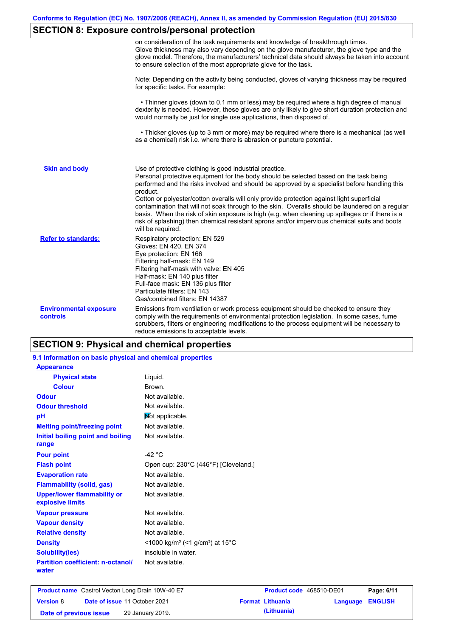# **SECTION 8: Exposure controls/personal protection**

|                                                  | on consideration of the task requirements and knowledge of breakthrough times.<br>Glove thickness may also vary depending on the glove manufacturer, the glove type and the<br>glove model. Therefore, the manufacturers' technical data should always be taken into account<br>to ensure selection of the most appropriate glove for the task.                                                                                                                                                                                                                                                                                                                  |
|--------------------------------------------------|------------------------------------------------------------------------------------------------------------------------------------------------------------------------------------------------------------------------------------------------------------------------------------------------------------------------------------------------------------------------------------------------------------------------------------------------------------------------------------------------------------------------------------------------------------------------------------------------------------------------------------------------------------------|
|                                                  | Note: Depending on the activity being conducted, gloves of varying thickness may be required<br>for specific tasks. For example:                                                                                                                                                                                                                                                                                                                                                                                                                                                                                                                                 |
|                                                  | • Thinner gloves (down to 0.1 mm or less) may be required where a high degree of manual<br>dexterity is needed. However, these gloves are only likely to give short duration protection and<br>would normally be just for single use applications, then disposed of.                                                                                                                                                                                                                                                                                                                                                                                             |
|                                                  | • Thicker gloves (up to 3 mm or more) may be required where there is a mechanical (as well<br>as a chemical) risk i.e. where there is abrasion or puncture potential.                                                                                                                                                                                                                                                                                                                                                                                                                                                                                            |
| <b>Skin and body</b>                             | Use of protective clothing is good industrial practice.<br>Personal protective equipment for the body should be selected based on the task being<br>performed and the risks involved and should be approved by a specialist before handling this<br>product.<br>Cotton or polyester/cotton overalls will only provide protection against light superficial<br>contamination that will not soak through to the skin. Overalls should be laundered on a regular<br>basis. When the risk of skin exposure is high (e.g. when cleaning up spillages or if there is a<br>risk of splashing) then chemical resistant aprons and/or impervious chemical suits and boots |
| <b>Refer to standards:</b>                       | will be required.<br>Respiratory protection: EN 529<br>Gloves: EN 420, EN 374<br>Eye protection: EN 166<br>Filtering half-mask: EN 149<br>Filtering half-mask with valve: EN 405<br>Half-mask: EN 140 plus filter<br>Full-face mask: EN 136 plus filter<br>Particulate filters: EN 143<br>Gas/combined filters: EN 14387                                                                                                                                                                                                                                                                                                                                         |
| <b>Environmental exposure</b><br><b>controls</b> | Emissions from ventilation or work process equipment should be checked to ensure they<br>comply with the requirements of environmental protection legislation. In some cases, fume<br>scrubbers, filters or engineering modifications to the process equipment will be necessary to<br>reduce emissions to acceptable levels.                                                                                                                                                                                                                                                                                                                                    |

# **SECTION 9: Physical and chemical properties**

| 9.1 Information on basic physical and chemical properties |                                                                      |
|-----------------------------------------------------------|----------------------------------------------------------------------|
| <b>Appearance</b>                                         |                                                                      |
| <b>Physical state</b>                                     | Liquid.                                                              |
| <b>Colour</b>                                             | Brown.                                                               |
| <b>Odour</b>                                              | Not available.                                                       |
| <b>Odour threshold</b>                                    | Not available.                                                       |
| pH                                                        | Mot applicable.                                                      |
| <b>Melting point/freezing point</b>                       | Not available.                                                       |
| Initial boiling point and boiling<br>range                | Not available.                                                       |
| <b>Pour point</b>                                         | -42 $\degree$ C                                                      |
| <b>Flash point</b>                                        | Open cup: 230°C (446°F) [Cleveland.]                                 |
| <b>Evaporation rate</b>                                   | Not available.                                                       |
| <b>Flammability (solid, gas)</b>                          | Not available.                                                       |
| <b>Upper/lower flammability or</b><br>explosive limits    | Not available.                                                       |
| <b>Vapour pressure</b>                                    | Not available.                                                       |
| <b>Vapour density</b>                                     | Not available.                                                       |
| <b>Relative density</b>                                   | Not available.                                                       |
| <b>Density</b>                                            | <1000 kg/m <sup>3</sup> (<1 g/cm <sup>3</sup> ) at 15 <sup>°</sup> C |
| <b>Solubility(ies)</b>                                    | insoluble in water.                                                  |
| <b>Partition coefficient: n-octanol/</b><br>water         | Not available.                                                       |
|                                                           |                                                                      |

| <b>Product name</b> Castrol Vecton Long Drain 10W-40 E7 |  | Product code 468510-DE01             |  | Page: 6/11              |                         |  |
|---------------------------------------------------------|--|--------------------------------------|--|-------------------------|-------------------------|--|
| <b>Version 8</b>                                        |  | <b>Date of issue 11 October 2021</b> |  | <b>Format Lithuania</b> | <b>Language ENGLISH</b> |  |
| Date of previous issue                                  |  | 29 January 2019.                     |  | (Lithuania)             |                         |  |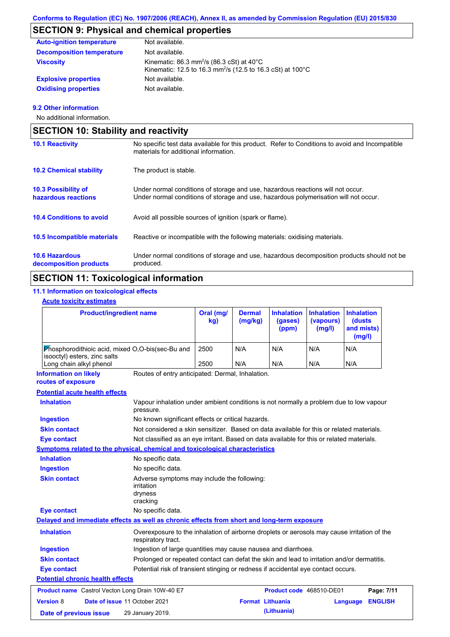# **SECTION 9: Physical and chemical properties**

| <b>Auto-ignition temperature</b> | Not available.                                                                                                                            |
|----------------------------------|-------------------------------------------------------------------------------------------------------------------------------------------|
| <b>Decomposition temperature</b> | Not available.                                                                                                                            |
| <b>Viscosity</b>                 | Kinematic: 86.3 mm <sup>2</sup> /s (86.3 cSt) at $40^{\circ}$ C<br>Kinematic: 12.5 to 16.3 mm <sup>2</sup> /s (12.5 to 16.3 cSt) at 100°C |
| <b>Explosive properties</b>      | Not available.                                                                                                                            |
| <b>Oxidising properties</b>      | Not available.                                                                                                                            |

#### **9.2 Other information**

No additional information.

| <b>SECTION 10: Stability and reactivity</b>     |                                                                                                                                                                         |  |  |  |
|-------------------------------------------------|-------------------------------------------------------------------------------------------------------------------------------------------------------------------------|--|--|--|
| <b>10.1 Reactivity</b>                          | No specific test data available for this product. Refer to Conditions to avoid and Incompatible<br>materials for additional information.                                |  |  |  |
| <b>10.2 Chemical stability</b>                  | The product is stable.                                                                                                                                                  |  |  |  |
| 10.3 Possibility of<br>hazardous reactions      | Under normal conditions of storage and use, hazardous reactions will not occur.<br>Under normal conditions of storage and use, hazardous polymerisation will not occur. |  |  |  |
| <b>10.4 Conditions to avoid</b>                 | Avoid all possible sources of ignition (spark or flame).                                                                                                                |  |  |  |
| 10.5 Incompatible materials                     | Reactive or incompatible with the following materials: oxidising materials.                                                                                             |  |  |  |
| <b>10.6 Hazardous</b><br>decomposition products | Under normal conditions of storage and use, hazardous decomposition products should not be<br>produced.                                                                 |  |  |  |

# **SECTION 11: Toxicological information**

## **11.1 Information on toxicological effects**

#### **Acute toxicity estimates**

| <b>Product/ingredient name</b>                                                                         | Oral (mg/<br>kg) | <b>Dermal</b><br>(mg/kg) | <b>Inhalation</b><br>(gases)<br>(ppm) | <b>Inhalation</b><br>(vapours)<br>(mg/l) | <b>Inhalation</b><br>(dusts<br>and mists)<br>(mg/l) |
|--------------------------------------------------------------------------------------------------------|------------------|--------------------------|---------------------------------------|------------------------------------------|-----------------------------------------------------|
| <b>Phosphorodithioic acid, mixed O.O-bis(sec-Bu and</b><br>isooctyl) esters, zinc salts                | 2500             | N/A                      | N/A                                   | N/A                                      | N/A                                                 |
| Long chain alkyl phenol                                                                                | 2500             | N/A                      | N/A                                   | N/A                                      | N/A                                                 |
| <b>Information on likely</b><br>Routes of entry anticipated: Dermal, Inhalation.<br>routes of exposure |                  |                          |                                       |                                          |                                                     |
| <b>Potential acute health effects</b>                                                                  |                  |                          |                                       |                                          |                                                     |

| <b>Inhalation</b>                                       | Vapour inhalation under ambient conditions is not normally a problem due to low vapour<br>pressure.               |
|---------------------------------------------------------|-------------------------------------------------------------------------------------------------------------------|
| <b>Ingestion</b>                                        | No known significant effects or critical hazards.                                                                 |
| <b>Skin contact</b>                                     | Not considered a skin sensitizer. Based on data available for this or related materials.                          |
| <b>Eye contact</b>                                      | Not classified as an eye irritant. Based on data available for this or related materials.                         |
|                                                         | <b>Symptoms related to the physical, chemical and toxicological characteristics</b>                               |
| <b>Inhalation</b>                                       | No specific data.                                                                                                 |
| <b>Ingestion</b>                                        | No specific data.                                                                                                 |
| <b>Skin contact</b>                                     | Adverse symptoms may include the following:<br>irritation<br>dryness<br>cracking                                  |
| Eye contact                                             | No specific data.                                                                                                 |
|                                                         | Delayed and immediate effects as well as chronic effects from short and long-term exposure                        |
| <b>Inhalation</b>                                       | Overexposure to the inhalation of airborne droplets or aerosols may cause irritation of the<br>respiratory tract. |
| <b>Ingestion</b>                                        | Ingestion of large quantities may cause nausea and diarrhoea.                                                     |
| <b>Skin contact</b>                                     | Prolonged or repeated contact can defat the skin and lead to irritation and/or dermatitis.                        |
| Eye contact                                             | Potential risk of transient stinging or redness if accidental eye contact occurs.                                 |
| <b>Potential chronic health effects</b>                 |                                                                                                                   |
| <b>Product name</b> Castrol Vecton Long Drain 10W-40 E7 | Product code 468510-DE01<br>Page: 7/11                                                                            |
| <b>Version 8</b>                                        | Date of issue 11 October 2021<br><b>Format Lithuania</b><br><b>ENGLISH</b><br>Language                            |
| Date of previous issue                                  | (Lithuania)<br>29 January 2019.                                                                                   |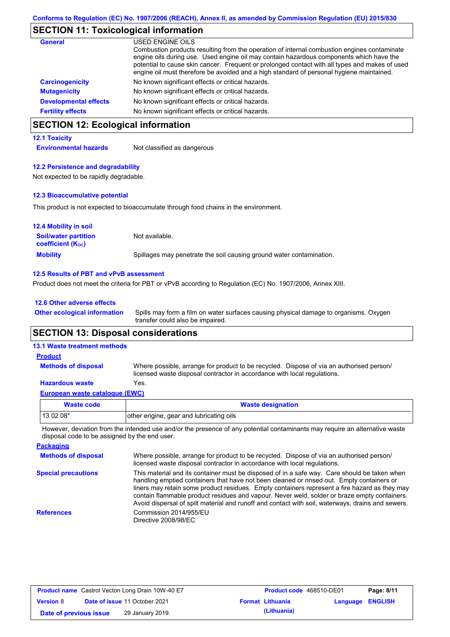# **SECTION 11: Toxicological information**

| <b>General</b>               | USED ENGINE OILS                                                                                                                                                                                                                                                                                                                                                                     |
|------------------------------|--------------------------------------------------------------------------------------------------------------------------------------------------------------------------------------------------------------------------------------------------------------------------------------------------------------------------------------------------------------------------------------|
|                              | Combustion products resulting from the operation of internal combustion engines contaminate<br>engine oils during use. Used engine oil may contain hazardous components which have the<br>potential to cause skin cancer. Frequent or prolonged contact with all types and makes of used<br>engine oil must therefore be avoided and a high standard of personal hygiene maintained. |
| <b>Carcinogenicity</b>       | No known significant effects or critical hazards.                                                                                                                                                                                                                                                                                                                                    |
| <b>Mutagenicity</b>          | No known significant effects or critical hazards.                                                                                                                                                                                                                                                                                                                                    |
| <b>Developmental effects</b> | No known significant effects or critical hazards.                                                                                                                                                                                                                                                                                                                                    |
| <b>Fertility effects</b>     | No known significant effects or critical hazards.                                                                                                                                                                                                                                                                                                                                    |

# **SECTION 12: Ecological information**

#### **12.1 Toxicity**

**Environmental hazards** Not classified as dangerous

#### **12.2 Persistence and degradability**

Not expected to be rapidly degradable.

#### **12.3 Bioaccumulative potential**

This product is not expected to bioaccumulate through food chains in the environment.

| <b>12.4 Mobility in soil</b>                            |                                                                      |
|---------------------------------------------------------|----------------------------------------------------------------------|
| <b>Soil/water partition</b><br><b>coefficient (Koc)</b> | Not available.                                                       |
| <b>Mobility</b>                                         | Spillages may penetrate the soil causing ground water contamination. |

#### **12.5 Results of PBT and vPvB assessment**

Product does not meet the criteria for PBT or vPvB according to Regulation (EC) No. 1907/2006, Annex XIII.

| 12.6 Other adverse effects          |                                                                                                                           |
|-------------------------------------|---------------------------------------------------------------------------------------------------------------------------|
| <b>Other ecological information</b> | Spills may form a film on water surfaces causing physical damage to organisms. Oxygen<br>transfer could also be impaired. |

### **SECTION 13: Disposal considerations**

#### **13.1 Waste treatment methods**

**Methods of disposal**

**Product**

Where possible, arrange for product to be recycled. Dispose of via an authorised person/ licensed waste disposal contractor in accordance with local regulations.

#### **European waste catalogue (EWC) Hazardous waste** Yes.

| Waste code  | <b>Waste designation</b>                |
|-------------|-----------------------------------------|
| l 13 02 08* | other engine, gear and lubricating oils |

However, deviation from the intended use and/or the presence of any potential contaminants may require an alternative waste disposal code to be assigned by the end user.

| <b>Packaging</b>           |                                                                                                                                                                                                                                                                                                                                                                                                                                                                                                 |
|----------------------------|-------------------------------------------------------------------------------------------------------------------------------------------------------------------------------------------------------------------------------------------------------------------------------------------------------------------------------------------------------------------------------------------------------------------------------------------------------------------------------------------------|
| <b>Methods of disposal</b> | Where possible, arrange for product to be recycled. Dispose of via an authorised person/<br>licensed waste disposal contractor in accordance with local regulations.                                                                                                                                                                                                                                                                                                                            |
| <b>Special precautions</b> | This material and its container must be disposed of in a safe way. Care should be taken when<br>handling emptied containers that have not been cleaned or rinsed out. Empty containers or<br>liners may retain some product residues. Empty containers represent a fire hazard as they may<br>contain flammable product residues and vapour. Never weld, solder or braze empty containers.<br>Avoid dispersal of spilt material and runoff and contact with soil, waterways, drains and sewers. |
| <b>References</b>          | Commission 2014/955/EU<br>Directive 2008/98/EC                                                                                                                                                                                                                                                                                                                                                                                                                                                  |

| <b>Product name</b> Castrol Vecton Long Drain 10W-40 E7 |  |                                      | Product code 468510-DE01 |                         | Page: 8/11              |  |
|---------------------------------------------------------|--|--------------------------------------|--------------------------|-------------------------|-------------------------|--|
| <b>Version 8</b>                                        |  | <b>Date of issue 11 October 2021</b> |                          | <b>Format Lithuania</b> | <b>Language ENGLISH</b> |  |
| Date of previous issue                                  |  | 29 January 2019.                     |                          | (Lithuania)             |                         |  |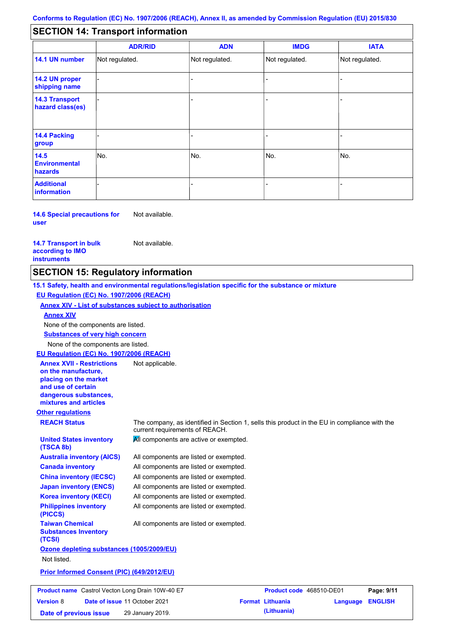#### - - - - - - - - - Not regulated. Not regulated. Not regulated. - - - **SECTION 14: Transport information ADR/RID IMDG IATA 14.1 UN number 14.2 UN proper shipping name 14.3 Transport hazard class(es) 14.4 Packing group ADN Additional information 14.5 Environmental hazards** No. 1988 | No. 1989 | No. 1989 | No. 1989 | No. 1989 | No. 1989 | No. 1989 | No. 1989 | No. 1989 | No. 1989 | Not regulated. - -<br>No. - -

**14.6 Special precautions for user** Not available.

#### **14.7 Transport in bulk according to IMO instruments**

Not available.

## **SECTION 15: Regulatory information**

**Other regulations REACH Status** The company, as identified in Section 1, sells this product in the EU in compliance with the current requirements of REACH. **15.1 Safety, health and environmental regulations/legislation specific for the substance or mixture EU Regulation (EC) No. 1907/2006 (REACH) Annex XIV - List of substances subject to authorisation Substances of very high concern** None of the components are listed. All components are listed or exempted. All components are listed or exempted. All components are listed or exempted. All components are listed or exempted. All components are active or exempted. All components are listed or exempted. All components are listed or exempted. **United States inventory (TSCA 8b) Australia inventory (AICS) Canada inventory China inventory (IECSC) Japan inventory (ENCS) Korea inventory (KECI) Philippines inventory (PICCS) Taiwan Chemical Substances Inventory (TCSI)** All components are listed or exempted. **Ozone depleting substances (1005/2009/EU)** Not listed. **Prior Informed Consent (PIC) (649/2012/EU)** None of the components are listed. **Annex XIV EU Regulation (EC) No. 1907/2006 (REACH) Annex XVII - Restrictions on the manufacture, placing on the market and use of certain dangerous substances, mixtures and articles** Not applicable. **Product name** Castrol Vecton Long Drain 10W-40 E7 **Product Code** 468510-DE01 **Page: 9/11 Version** 8

**Date of issue** 11 October 2021 **Format Lithuania Language ENGLISH Date of previous issue (Lithuania)** 29 January 2019.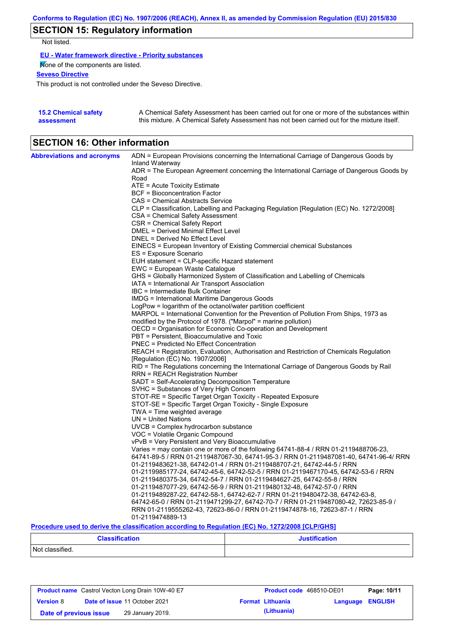# **SECTION 15: Regulatory information**

Not listed.

**EU - Water framework directive - Priority substances**

None of the components are listed.

**Seveso Directive**

This product is not controlled under the Seveso Directive.

| <b>15.2 Chemical safety</b> | A Chemical Safety Assessment has been carried out for one or more of the substances within  |
|-----------------------------|---------------------------------------------------------------------------------------------|
| assessment                  | this mixture. A Chemical Safety Assessment has not been carried out for the mixture itself. |

# **SECTION 16: Other information**

| <b>Abbreviations and acronyms</b> | ADN = European Provisions concerning the International Carriage of Dangerous Goods by                                                                                         |
|-----------------------------------|-------------------------------------------------------------------------------------------------------------------------------------------------------------------------------|
|                                   | Inland Waterway                                                                                                                                                               |
|                                   | ADR = The European Agreement concerning the International Carriage of Dangerous Goods by<br>Road                                                                              |
|                                   | ATE = Acute Toxicity Estimate                                                                                                                                                 |
|                                   | <b>BCF</b> = Bioconcentration Factor                                                                                                                                          |
|                                   | CAS = Chemical Abstracts Service                                                                                                                                              |
|                                   | CLP = Classification, Labelling and Packaging Regulation [Regulation (EC) No. 1272/2008]                                                                                      |
|                                   | CSA = Chemical Safety Assessment                                                                                                                                              |
|                                   | CSR = Chemical Safety Report                                                                                                                                                  |
|                                   | DMEL = Derived Minimal Effect Level                                                                                                                                           |
|                                   | DNEL = Derived No Effect Level                                                                                                                                                |
|                                   | EINECS = European Inventory of Existing Commercial chemical Substances                                                                                                        |
|                                   | ES = Exposure Scenario                                                                                                                                                        |
|                                   | EUH statement = CLP-specific Hazard statement                                                                                                                                 |
|                                   | EWC = European Waste Catalogue                                                                                                                                                |
|                                   | GHS = Globally Harmonized System of Classification and Labelling of Chemicals                                                                                                 |
|                                   | IATA = International Air Transport Association                                                                                                                                |
|                                   | IBC = Intermediate Bulk Container                                                                                                                                             |
|                                   | IMDG = International Maritime Dangerous Goods                                                                                                                                 |
|                                   | LogPow = logarithm of the octanol/water partition coefficient                                                                                                                 |
|                                   | MARPOL = International Convention for the Prevention of Pollution From Ships, 1973 as                                                                                         |
|                                   | modified by the Protocol of 1978. ("Marpol" = marine pollution)                                                                                                               |
|                                   | OECD = Organisation for Economic Co-operation and Development                                                                                                                 |
|                                   | PBT = Persistent, Bioaccumulative and Toxic                                                                                                                                   |
|                                   | PNEC = Predicted No Effect Concentration                                                                                                                                      |
|                                   | REACH = Registration, Evaluation, Authorisation and Restriction of Chemicals Regulation                                                                                       |
|                                   | [Regulation (EC) No. 1907/2006]                                                                                                                                               |
|                                   | RID = The Regulations concerning the International Carriage of Dangerous Goods by Rail                                                                                        |
|                                   | RRN = REACH Registration Number                                                                                                                                               |
|                                   | SADT = Self-Accelerating Decomposition Temperature                                                                                                                            |
|                                   | SVHC = Substances of Very High Concern                                                                                                                                        |
|                                   | STOT-RE = Specific Target Organ Toxicity - Repeated Exposure                                                                                                                  |
|                                   | STOT-SE = Specific Target Organ Toxicity - Single Exposure                                                                                                                    |
|                                   | TWA = Time weighted average                                                                                                                                                   |
|                                   | $UN = United Nations$                                                                                                                                                         |
|                                   | $UVCB = Complex\ hydrocarbon\ substance$                                                                                                                                      |
|                                   | VOC = Volatile Organic Compound                                                                                                                                               |
|                                   | vPvB = Very Persistent and Very Bioaccumulative                                                                                                                               |
|                                   | Varies = may contain one or more of the following 64741-88-4 / RRN 01-2119488706-23,<br>64741-89-5 / RRN 01-2119487067-30, 64741-95-3 / RRN 01-2119487081-40, 64741-96-4/ RRN |
|                                   | 01-2119483621-38, 64742-01-4 / RRN 01-2119488707-21, 64742-44-5 / RRN                                                                                                         |
|                                   | 01-2119985177-24, 64742-45-6, 64742-52-5 / RRN 01-2119467170-45, 64742-53-6 / RRN                                                                                             |
|                                   | 01-2119480375-34, 64742-54-7 / RRN 01-2119484627-25, 64742-55-8 / RRN                                                                                                         |
|                                   | 01-2119487077-29, 64742-56-9 / RRN 01-2119480132-48, 64742-57-0 / RRN                                                                                                         |
|                                   | 01-2119489287-22, 64742-58-1, 64742-62-7 / RRN 01-2119480472-38, 64742-63-8,                                                                                                  |
|                                   | 64742-65-0 / RRN 01-2119471299-27, 64742-70-7 / RRN 01-2119487080-42, 72623-85-9 /                                                                                            |
|                                   | RRN 01-2119555262-43, 72623-86-0 / RRN 01-2119474878-16, 72623-87-1 / RRN                                                                                                     |
|                                   |                                                                                                                                                                               |

**Procedure used to derive the classification according to Regulation (EC) No. 1272/2008 [CLP/GHS]**

| <b>Classification</b> | <b>Justification</b> |  |  |
|-----------------------|----------------------|--|--|
| Not classified.       |                      |  |  |

| <b>Product name</b> Castrol Vecton Long Drain 10W-40 E7 |  |                                      | <b>Product code</b> 468510-DE01 | Page: 10/11             |                         |  |
|---------------------------------------------------------|--|--------------------------------------|---------------------------------|-------------------------|-------------------------|--|
| <b>Version 8</b>                                        |  | <b>Date of issue 11 October 2021</b> |                                 | <b>Format Lithuania</b> | <b>Language ENGLISH</b> |  |
| Date of previous issue                                  |  | 29 January 2019.                     |                                 | (Lithuania)             |                         |  |